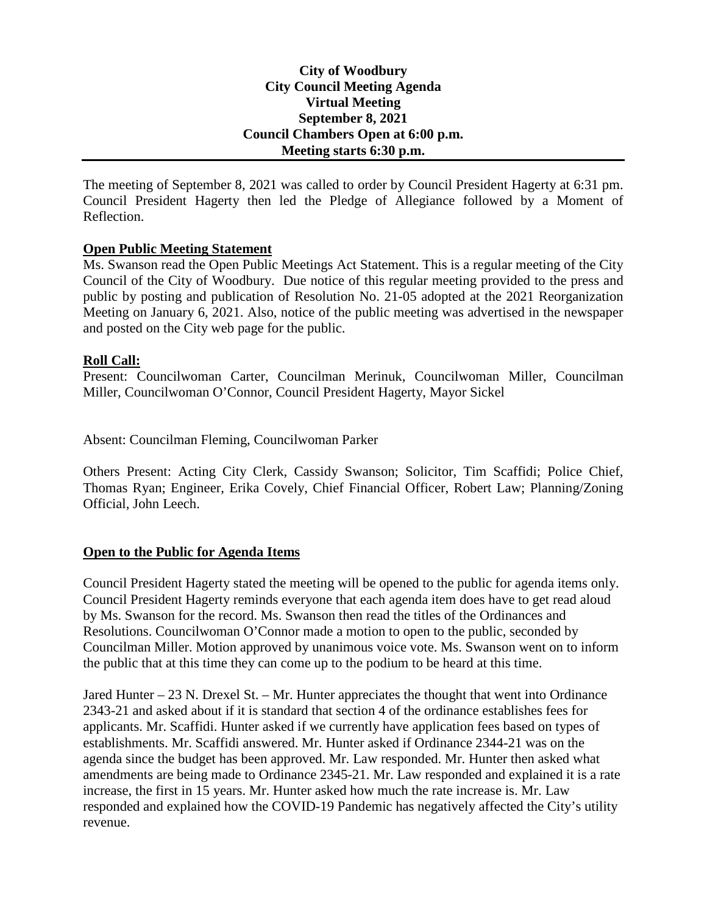## **City of Woodbury City Council Meeting Agenda Virtual Meeting September 8, 2021 Council Chambers Open at 6:00 p.m. Meeting starts 6:30 p.m.**

The meeting of September 8, 2021 was called to order by Council President Hagerty at 6:31 pm. Council President Hagerty then led the Pledge of Allegiance followed by a Moment of Reflection.

### **Open Public Meeting Statement**

Ms. Swanson read the Open Public Meetings Act Statement. This is a regular meeting of the City Council of the City of Woodbury. Due notice of this regular meeting provided to the press and public by posting and publication of Resolution No. 21-05 adopted at the 2021 Reorganization Meeting on January 6, 2021. Also, notice of the public meeting was advertised in the newspaper and posted on the City web page for the public.

### **Roll Call:**

Present: Councilwoman Carter, Councilman Merinuk, Councilwoman Miller, Councilman Miller, Councilwoman O'Connor, Council President Hagerty, Mayor Sickel

Absent: Councilman Fleming, Councilwoman Parker

Others Present: Acting City Clerk, Cassidy Swanson; Solicitor, Tim Scaffidi; Police Chief, Thomas Ryan; Engineer, Erika Covely, Chief Financial Officer, Robert Law; Planning/Zoning Official, John Leech.

### **Open to the Public for Agenda Items**

Council President Hagerty stated the meeting will be opened to the public for agenda items only. Council President Hagerty reminds everyone that each agenda item does have to get read aloud by Ms. Swanson for the record. Ms. Swanson then read the titles of the Ordinances and Resolutions. Councilwoman O'Connor made a motion to open to the public, seconded by Councilman Miller. Motion approved by unanimous voice vote. Ms. Swanson went on to inform the public that at this time they can come up to the podium to be heard at this time.

Jared Hunter – 23 N. Drexel St. – Mr. Hunter appreciates the thought that went into Ordinance 2343-21 and asked about if it is standard that section 4 of the ordinance establishes fees for applicants. Mr. Scaffidi. Hunter asked if we currently have application fees based on types of establishments. Mr. Scaffidi answered. Mr. Hunter asked if Ordinance 2344-21 was on the agenda since the budget has been approved. Mr. Law responded. Mr. Hunter then asked what amendments are being made to Ordinance 2345-21. Mr. Law responded and explained it is a rate increase, the first in 15 years. Mr. Hunter asked how much the rate increase is. Mr. Law responded and explained how the COVID-19 Pandemic has negatively affected the City's utility revenue.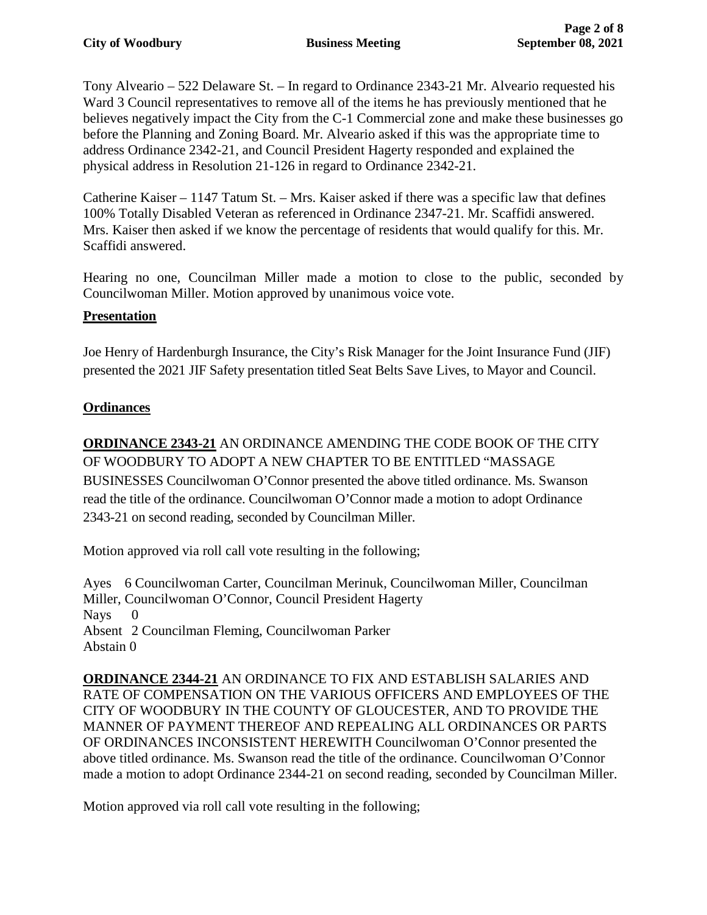Tony Alveario – 522 Delaware St. – In regard to Ordinance 2343-21 Mr. Alveario requested his Ward 3 Council representatives to remove all of the items he has previously mentioned that he believes negatively impact the City from the C-1 Commercial zone and make these businesses go before the Planning and Zoning Board. Mr. Alveario asked if this was the appropriate time to address Ordinance 2342-21, and Council President Hagerty responded and explained the physical address in Resolution 21-126 in regard to Ordinance 2342-21.

Catherine Kaiser – 1147 Tatum St. – Mrs. Kaiser asked if there was a specific law that defines 100% Totally Disabled Veteran as referenced in Ordinance 2347-21. Mr. Scaffidi answered. Mrs. Kaiser then asked if we know the percentage of residents that would qualify for this. Mr. Scaffidi answered.

Hearing no one, Councilman Miller made a motion to close to the public, seconded by Councilwoman Miller. Motion approved by unanimous voice vote.

## **Presentation**

Joe Henry of Hardenburgh Insurance, the City's Risk Manager for the Joint Insurance Fund (JIF) presented the 2021 JIF Safety presentation titled Seat Belts Save Lives, to Mayor and Council.

## **Ordinances**

**ORDINANCE 2343-21** AN ORDINANCE AMENDING THE CODE BOOK OF THE CITY OF WOODBURY TO ADOPT A NEW CHAPTER TO BE ENTITLED "MASSAGE BUSINESSES Councilwoman O'Connor presented the above titled ordinance. Ms. Swanson read the title of the ordinance. Councilwoman O'Connor made a motion to adopt Ordinance 2343-21 on second reading, seconded by Councilman Miller.

Motion approved via roll call vote resulting in the following;

Ayes 6 Councilwoman Carter, Councilman Merinuk, Councilwoman Miller, Councilman Miller, Councilwoman O'Connor, Council President Hagerty Nays Absent 2 Councilman Fleming, Councilwoman Parker Abstain 0

**ORDINANCE 2344-21** AN ORDINANCE TO FIX AND ESTABLISH SALARIES AND RATE OF COMPENSATION ON THE VARIOUS OFFICERS AND EMPLOYEES OF THE CITY OF WOODBURY IN THE COUNTY OF GLOUCESTER, AND TO PROVIDE THE MANNER OF PAYMENT THEREOF AND REPEALING ALL ORDINANCES OR PARTS OF ORDINANCES INCONSISTENT HEREWITH Councilwoman O'Connor presented the above titled ordinance. Ms. Swanson read the title of the ordinance. Councilwoman O'Connor made a motion to adopt Ordinance 2344-21 on second reading, seconded by Councilman Miller.

Motion approved via roll call vote resulting in the following;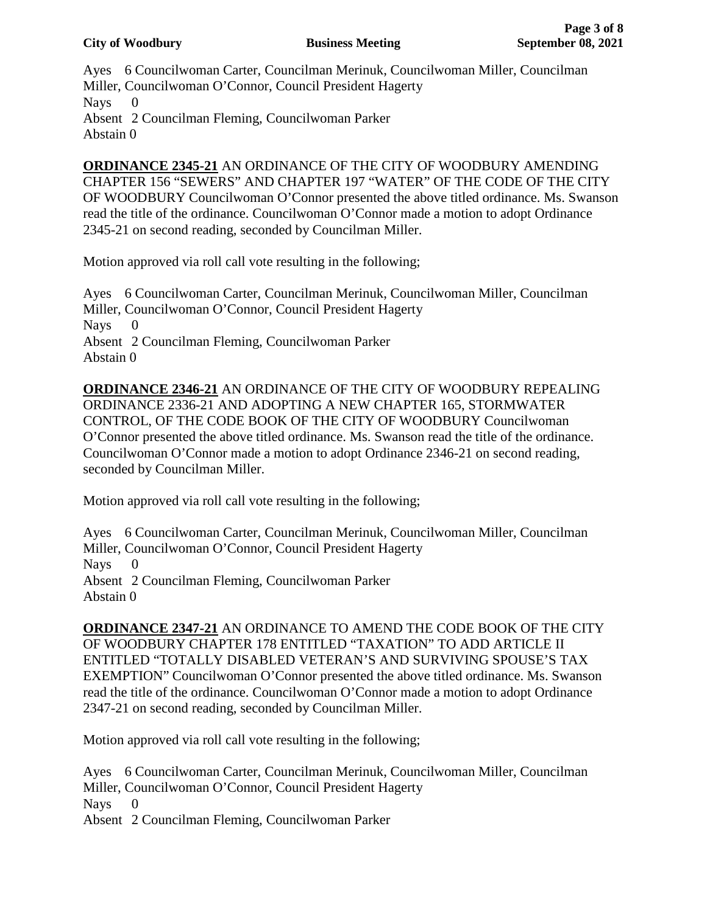Ayes 6 Councilwoman Carter, Councilman Merinuk, Councilwoman Miller, Councilman Miller, Councilwoman O'Connor, Council President Hagerty Nays 0 Absent 2 Councilman Fleming, Councilwoman Parker Abstain 0

**ORDINANCE 2345-21** AN ORDINANCE OF THE CITY OF WOODBURY AMENDING CHAPTER 156 "SEWERS" AND CHAPTER 197 "WATER" OF THE CODE OF THE CITY OF WOODBURY Councilwoman O'Connor presented the above titled ordinance. Ms. Swanson read the title of the ordinance. Councilwoman O'Connor made a motion to adopt Ordinance 2345-21 on second reading, seconded by Councilman Miller.

Motion approved via roll call vote resulting in the following;

Ayes 6 Councilwoman Carter, Councilman Merinuk, Councilwoman Miller, Councilman Miller, Councilwoman O'Connor, Council President Hagerty Nays 0 Absent 2 Councilman Fleming, Councilwoman Parker Abstain 0

**ORDINANCE 2346-21** AN ORDINANCE OF THE CITY OF WOODBURY REPEALING ORDINANCE 2336-21 AND ADOPTING A NEW CHAPTER 165, STORMWATER CONTROL, OF THE CODE BOOK OF THE CITY OF WOODBURY Councilwoman O'Connor presented the above titled ordinance. Ms. Swanson read the title of the ordinance. Councilwoman O'Connor made a motion to adopt Ordinance 2346-21 on second reading, seconded by Councilman Miller.

Motion approved via roll call vote resulting in the following;

Ayes 6 Councilwoman Carter, Councilman Merinuk, Councilwoman Miller, Councilman Miller, Councilwoman O'Connor, Council President Hagerty Nays Absent 2 Councilman Fleming, Councilwoman Parker Abstain 0

**ORDINANCE 2347-21** AN ORDINANCE TO AMEND THE CODE BOOK OF THE CITY OF WOODBURY CHAPTER 178 ENTITLED "TAXATION" TO ADD ARTICLE II ENTITLED "TOTALLY DISABLED VETERAN'S AND SURVIVING SPOUSE'S TAX EXEMPTION" Councilwoman O'Connor presented the above titled ordinance. Ms. Swanson read the title of the ordinance. Councilwoman O'Connor made a motion to adopt Ordinance 2347-21 on second reading, seconded by Councilman Miller.

Motion approved via roll call vote resulting in the following;

Ayes 6 Councilwoman Carter, Councilman Merinuk, Councilwoman Miller, Councilman Miller, Councilwoman O'Connor, Council President Hagerty Nays 0 Absent 2 Councilman Fleming, Councilwoman Parker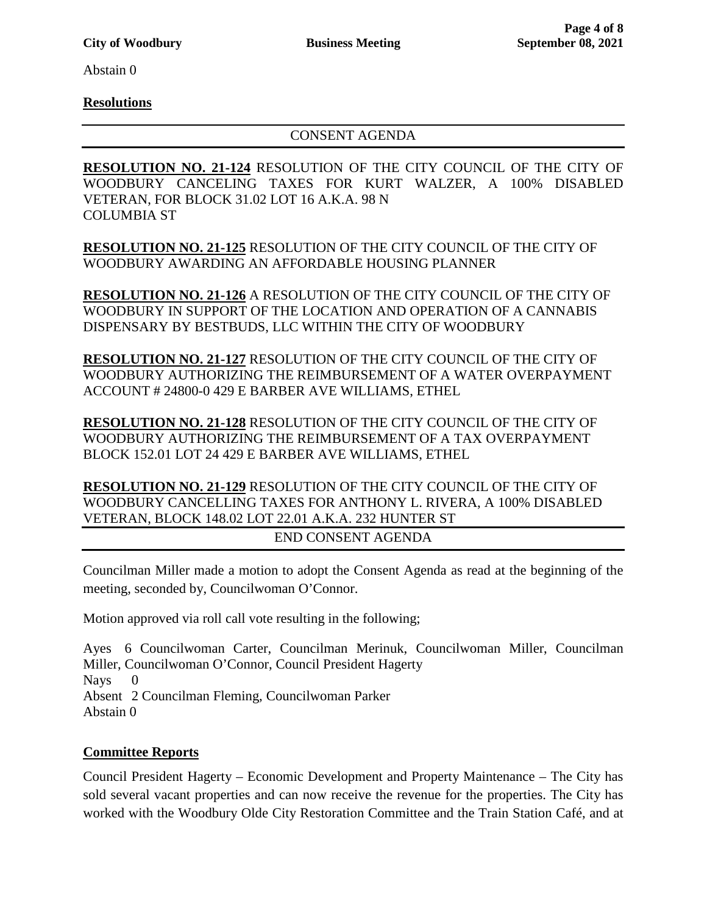Abstain 0

### **Resolutions**

#### CONSENT AGENDA

**RESOLUTION NO. 21-124** RESOLUTION OF THE CITY COUNCIL OF THE CITY OF WOODBURY CANCELING TAXES FOR KURT WALZER, A 100% DISABLED VETERAN, FOR BLOCK 31.02 LOT 16 A.K.A. 98 N COLUMBIA ST

**RESOLUTION NO. 21-125** RESOLUTION OF THE CITY COUNCIL OF THE CITY OF WOODBURY AWARDING AN AFFORDABLE HOUSING PLANNER

**RESOLUTION NO. 21-126** A RESOLUTION OF THE CITY COUNCIL OF THE CITY OF WOODBURY IN SUPPORT OF THE LOCATION AND OPERATION OF A CANNABIS DISPENSARY BY BESTBUDS, LLC WITHIN THE CITY OF WOODBURY

**RESOLUTION NO. 21-127** RESOLUTION OF THE CITY COUNCIL OF THE CITY OF WOODBURY AUTHORIZING THE REIMBURSEMENT OF A WATER OVERPAYMENT ACCOUNT # 24800-0 429 E BARBER AVE WILLIAMS, ETHEL

**RESOLUTION NO. 21-128** RESOLUTION OF THE CITY COUNCIL OF THE CITY OF WOODBURY AUTHORIZING THE REIMBURSEMENT OF A TAX OVERPAYMENT BLOCK 152.01 LOT 24 429 E BARBER AVE WILLIAMS, ETHEL

**RESOLUTION NO. 21-129** RESOLUTION OF THE CITY COUNCIL OF THE CITY OF WOODBURY CANCELLING TAXES FOR ANTHONY L. RIVERA, A 100% DISABLED VETERAN, BLOCK 148.02 LOT 22.01 A.K.A. 232 HUNTER ST

END CONSENT AGENDA

Councilman Miller made a motion to adopt the Consent Agenda as read at the beginning of the meeting, seconded by, Councilwoman O'Connor.

Motion approved via roll call vote resulting in the following;

Ayes 6 Councilwoman Carter, Councilman Merinuk, Councilwoman Miller, Councilman Miller, Councilwoman O'Connor, Council President Hagerty Nays Absent 2 Councilman Fleming, Councilwoman Parker Abstain 0

## **Committee Reports**

Council President Hagerty – Economic Development and Property Maintenance – The City has sold several vacant properties and can now receive the revenue for the properties. The City has worked with the Woodbury Olde City Restoration Committee and the Train Station Café, and at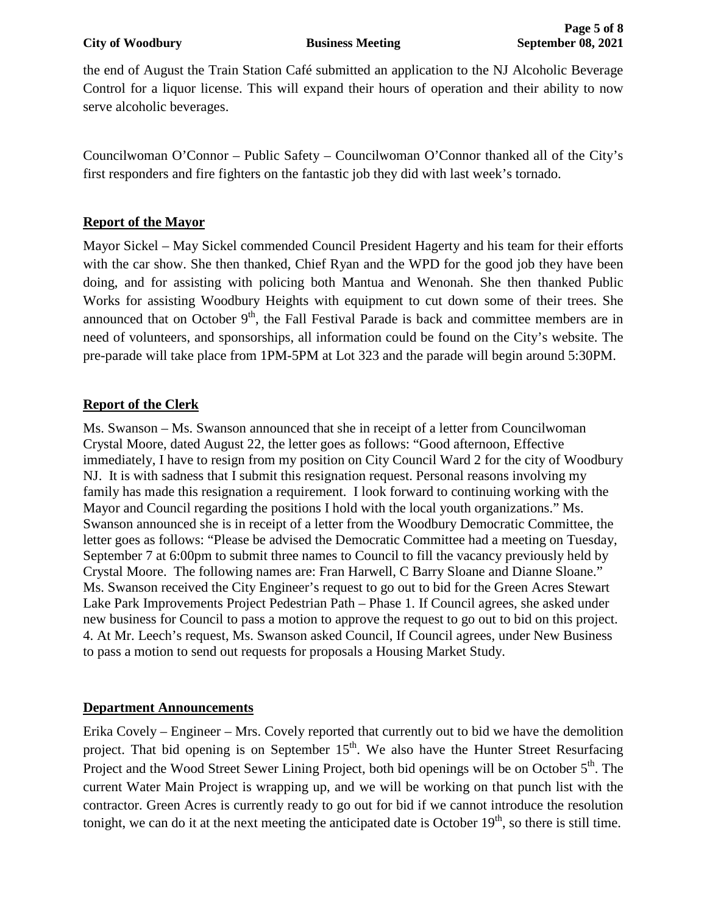the end of August the Train Station Café submitted an application to the NJ Alcoholic Beverage Control for a liquor license. This will expand their hours of operation and their ability to now serve alcoholic beverages.

Councilwoman O'Connor – Public Safety – Councilwoman O'Connor thanked all of the City's first responders and fire fighters on the fantastic job they did with last week's tornado.

## **Report of the Mayor**

Mayor Sickel – May Sickel commended Council President Hagerty and his team for their efforts with the car show. She then thanked, Chief Ryan and the WPD for the good job they have been doing, and for assisting with policing both Mantua and Wenonah. She then thanked Public Works for assisting Woodbury Heights with equipment to cut down some of their trees. She announced that on October  $9<sup>th</sup>$ , the Fall Festival Parade is back and committee members are in need of volunteers, and sponsorships, all information could be found on the City's website. The pre-parade will take place from 1PM-5PM at Lot 323 and the parade will begin around 5:30PM.

# **Report of the Clerk**

Ms. Swanson – Ms. Swanson announced that she in receipt of a letter from Councilwoman Crystal Moore, dated August 22, the letter goes as follows: "Good afternoon, Effective immediately, I have to resign from my position on City Council Ward 2 for the city of Woodbury NJ. It is with sadness that I submit this resignation request. Personal reasons involving my family has made this resignation a requirement. I look forward to continuing working with the Mayor and Council regarding the positions I hold with the local youth organizations." Ms. Swanson announced she is in receipt of a letter from the Woodbury Democratic Committee, the letter goes as follows: "Please be advised the Democratic Committee had a meeting on Tuesday, September 7 at 6:00pm to submit three names to Council to fill the vacancy previously held by Crystal Moore. The following names are: Fran Harwell, C Barry Sloane and Dianne Sloane." Ms. Swanson received the City Engineer's request to go out to bid for the Green Acres Stewart Lake Park Improvements Project Pedestrian Path – Phase 1. If Council agrees, she asked under new business for Council to pass a motion to approve the request to go out to bid on this project. 4. At Mr. Leech's request, Ms. Swanson asked Council, If Council agrees, under New Business to pass a motion to send out requests for proposals a Housing Market Study.

## **Department Announcements**

Erika Covely – Engineer – Mrs. Covely reported that currently out to bid we have the demolition project. That bid opening is on September  $15<sup>th</sup>$ . We also have the Hunter Street Resurfacing Project and the Wood Street Sewer Lining Project, both bid openings will be on October 5<sup>th</sup>. The current Water Main Project is wrapping up, and we will be working on that punch list with the contractor. Green Acres is currently ready to go out for bid if we cannot introduce the resolution tonight, we can do it at the next meeting the anticipated date is October  $19<sup>th</sup>$ , so there is still time.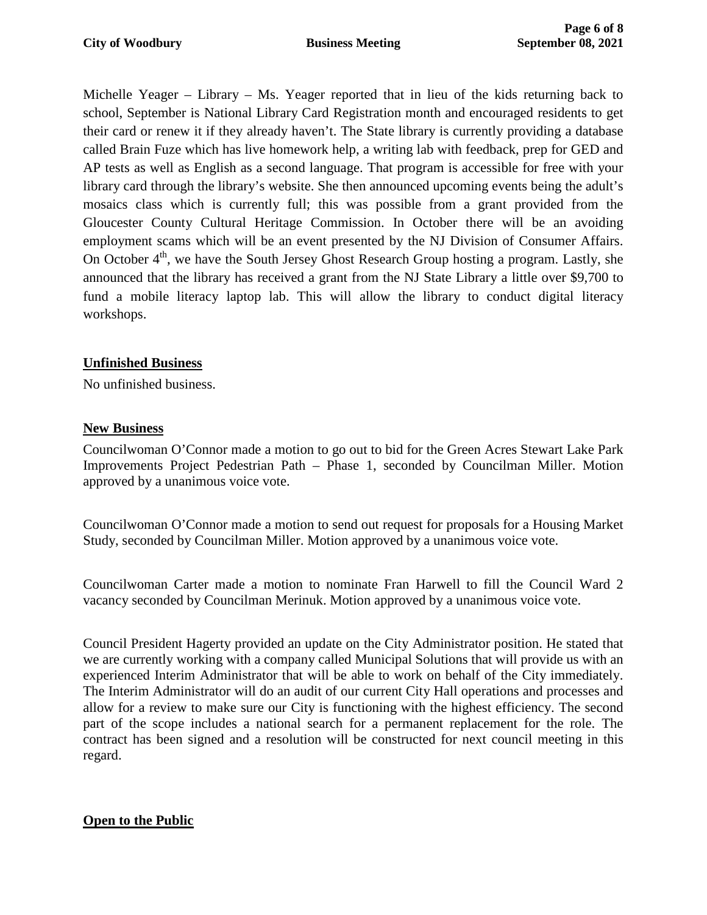Michelle Yeager – Library – Ms. Yeager reported that in lieu of the kids returning back to school, September is National Library Card Registration month and encouraged residents to get their card or renew it if they already haven't. The State library is currently providing a database called Brain Fuze which has live homework help, a writing lab with feedback, prep for GED and AP tests as well as English as a second language. That program is accessible for free with your library card through the library's website. She then announced upcoming events being the adult's mosaics class which is currently full; this was possible from a grant provided from the Gloucester County Cultural Heritage Commission. In October there will be an avoiding employment scams which will be an event presented by the NJ Division of Consumer Affairs. On October  $4<sup>th</sup>$ , we have the South Jersey Ghost Research Group hosting a program. Lastly, she announced that the library has received a grant from the NJ State Library a little over \$9,700 to fund a mobile literacy laptop lab. This will allow the library to conduct digital literacy workshops.

# **Unfinished Business**

No unfinished business.

## **New Business**

Councilwoman O'Connor made a motion to go out to bid for the Green Acres Stewart Lake Park Improvements Project Pedestrian Path – Phase 1, seconded by Councilman Miller. Motion approved by a unanimous voice vote.

Councilwoman O'Connor made a motion to send out request for proposals for a Housing Market Study, seconded by Councilman Miller. Motion approved by a unanimous voice vote.

Councilwoman Carter made a motion to nominate Fran Harwell to fill the Council Ward 2 vacancy seconded by Councilman Merinuk. Motion approved by a unanimous voice vote.

Council President Hagerty provided an update on the City Administrator position. He stated that we are currently working with a company called Municipal Solutions that will provide us with an experienced Interim Administrator that will be able to work on behalf of the City immediately. The Interim Administrator will do an audit of our current City Hall operations and processes and allow for a review to make sure our City is functioning with the highest efficiency. The second part of the scope includes a national search for a permanent replacement for the role. The contract has been signed and a resolution will be constructed for next council meeting in this regard.

# **Open to the Public**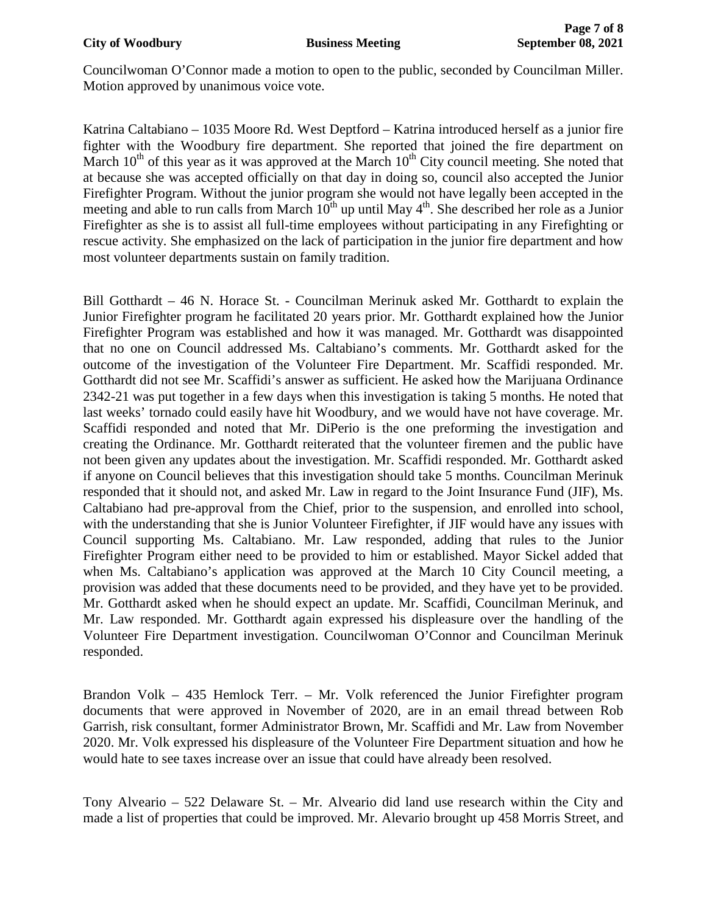Councilwoman O'Connor made a motion to open to the public, seconded by Councilman Miller. Motion approved by unanimous voice vote.

Katrina Caltabiano – 1035 Moore Rd. West Deptford – Katrina introduced herself as a junior fire fighter with the Woodbury fire department. She reported that joined the fire department on March  $10<sup>th</sup>$  of this year as it was approved at the March  $10<sup>th</sup>$  City council meeting. She noted that at because she was accepted officially on that day in doing so, council also accepted the Junior Firefighter Program. Without the junior program she would not have legally been accepted in the meeting and able to run calls from March 10<sup>th</sup> up until May 4<sup>th</sup>. She described her role as a Junior Firefighter as she is to assist all full-time employees without participating in any Firefighting or rescue activity. She emphasized on the lack of participation in the junior fire department and how most volunteer departments sustain on family tradition.

Bill Gotthardt – 46 N. Horace St. - Councilman Merinuk asked Mr. Gotthardt to explain the Junior Firefighter program he facilitated 20 years prior. Mr. Gotthardt explained how the Junior Firefighter Program was established and how it was managed. Mr. Gotthardt was disappointed that no one on Council addressed Ms. Caltabiano's comments. Mr. Gotthardt asked for the outcome of the investigation of the Volunteer Fire Department. Mr. Scaffidi responded. Mr. Gotthardt did not see Mr. Scaffidi's answer as sufficient. He asked how the Marijuana Ordinance 2342-21 was put together in a few days when this investigation is taking 5 months. He noted that last weeks' tornado could easily have hit Woodbury, and we would have not have coverage. Mr. Scaffidi responded and noted that Mr. DiPerio is the one preforming the investigation and creating the Ordinance. Mr. Gotthardt reiterated that the volunteer firemen and the public have not been given any updates about the investigation. Mr. Scaffidi responded. Mr. Gotthardt asked if anyone on Council believes that this investigation should take 5 months. Councilman Merinuk responded that it should not, and asked Mr. Law in regard to the Joint Insurance Fund (JIF), Ms. Caltabiano had pre-approval from the Chief, prior to the suspension, and enrolled into school, with the understanding that she is Junior Volunteer Firefighter, if JIF would have any issues with Council supporting Ms. Caltabiano. Mr. Law responded, adding that rules to the Junior Firefighter Program either need to be provided to him or established. Mayor Sickel added that when Ms. Caltabiano's application was approved at the March 10 City Council meeting, a provision was added that these documents need to be provided, and they have yet to be provided. Mr. Gotthardt asked when he should expect an update. Mr. Scaffidi, Councilman Merinuk, and Mr. Law responded. Mr. Gotthardt again expressed his displeasure over the handling of the Volunteer Fire Department investigation. Councilwoman O'Connor and Councilman Merinuk responded.

Brandon Volk – 435 Hemlock Terr. – Mr. Volk referenced the Junior Firefighter program documents that were approved in November of 2020, are in an email thread between Rob Garrish, risk consultant, former Administrator Brown, Mr. Scaffidi and Mr. Law from November 2020. Mr. Volk expressed his displeasure of the Volunteer Fire Department situation and how he would hate to see taxes increase over an issue that could have already been resolved.

Tony Alveario – 522 Delaware St. – Mr. Alveario did land use research within the City and made a list of properties that could be improved. Mr. Alevario brought up 458 Morris Street, and